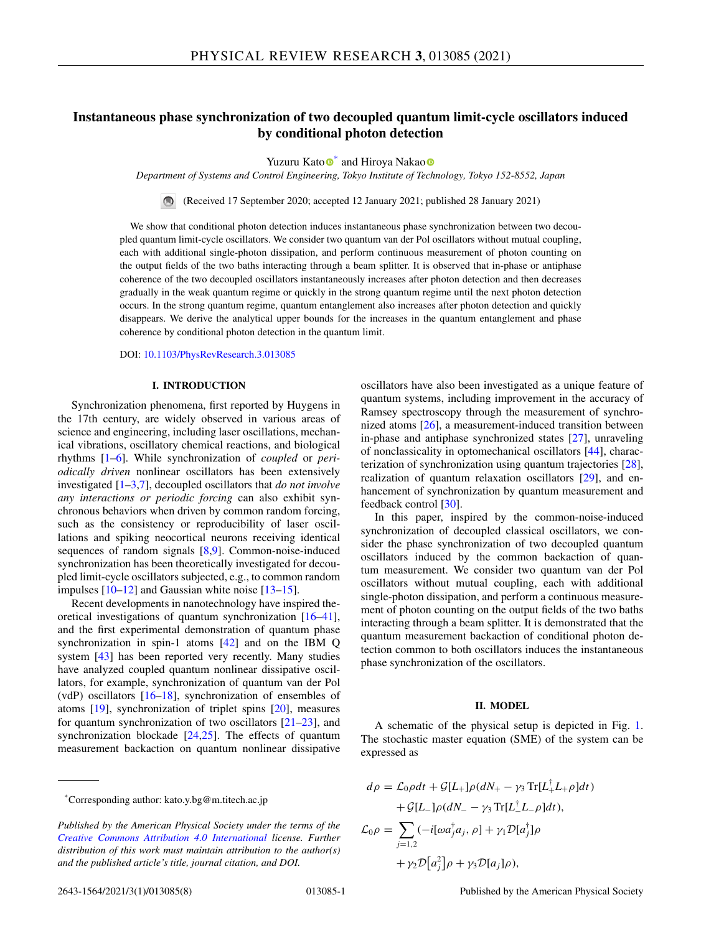# **Instantaneous phase synchronization of two decoupled quantum limit-cycle oscillators induced by conditional photon detection**

Yuzuru Kato<sup>®[\\*](https://orcid.org/0000-0001-8508-4677)</sup> and Hir[o](https://orcid.org/0000-0003-3394-0392)ya Nakao<sup>®</sup>

*Department of Systems and Control Engineering, Tokyo Institute of Technology, Tokyo 152-8552, Japan*

 $\blacksquare$ (Received 17 September 2020; accepted 12 January 2021; published 28 January 2021)

We show that conditional photon detection induces instantaneous phase synchronization between two decoupled quantum limit-cycle oscillators. We consider two quantum van der Pol oscillators without mutual coupling, each with additional single-photon dissipation, and perform continuous measurement of photon counting on the output fields of the two baths interacting through a beam splitter. It is observed that in-phase or antiphase coherence of the two decoupled oscillators instantaneously increases after photon detection and then decreases gradually in the weak quantum regime or quickly in the strong quantum regime until the next photon detection occurs. In the strong quantum regime, quantum entanglement also increases after photon detection and quickly disappears. We derive the analytical upper bounds for the increases in the quantum entanglement and phase coherence by conditional photon detection in the quantum limit.

DOI: [10.1103/PhysRevResearch.3.013085](https://doi.org/10.1103/PhysRevResearch.3.013085)

### **I. INTRODUCTION**

Synchronization phenomena, first reported by Huygens in the 17th century, are widely observed in various areas of science and engineering, including laser oscillations, mechanical vibrations, oscillatory chemical reactions, and biological rhythms [\[1–6\]](#page-6-0). While synchronization of *coupled* or *periodically driven* nonlinear oscillators has been extensively investigated [\[1–3,7\]](#page-6-0), decoupled oscillators that *do not involve any interactions or periodic forcing* can also exhibit synchronous behaviors when driven by common random forcing, such as the consistency or reproducibility of laser oscillations and spiking neocortical neurons receiving identical sequences of random signals [\[8,9\]](#page-6-0). Common-noise-induced synchronization has been theoretically investigated for decoupled limit-cycle oscillators subjected, e.g., to common random impulses  $[10-12]$  and Gaussian white noise  $[13-15]$ .

Recent developments in nanotechnology have inspired theoretical investigations of quantum synchronization [\[16](#page-6-0)[–41\]](#page-7-0), and the first experimental demonstration of quantum phase synchronization in spin-1 atoms [\[42\]](#page-7-0) and on the IBM Q system [\[43\]](#page-7-0) has been reported very recently. Many studies have analyzed coupled quantum nonlinear dissipative oscillators, for example, synchronization of quantum van der Pol (vdP) oscillators  $[16–18]$ , synchronization of ensembles of atoms [\[19\]](#page-6-0), synchronization of triplet spins [\[20\]](#page-6-0), measures for quantum synchronization of two oscillators [\[21–23\]](#page-6-0), and synchronization blockade  $[24,25]$ . The effects of quantum measurement backaction on quantum nonlinear dissipative oscillators have also been investigated as a unique feature of quantum systems, including improvement in the accuracy of Ramsey spectroscopy through the measurement of synchronized atoms [\[26\]](#page-6-0), a measurement-induced transition between in-phase and antiphase synchronized states [\[27\]](#page-6-0), unraveling of nonclassicality in optomechanical oscillators [\[44\]](#page-7-0), characterization of synchronization using quantum trajectories [\[28\]](#page-6-0), realization of quantum relaxation oscillators [\[29\]](#page-6-0), and enhancement of synchronization by quantum measurement and feedback control [\[30\]](#page-6-0).

In this paper, inspired by the common-noise-induced synchronization of decoupled classical oscillators, we consider the phase synchronization of two decoupled quantum oscillators induced by the common backaction of quantum measurement. We consider two quantum van der Pol oscillators without mutual coupling, each with additional single-photon dissipation, and perform a continuous measurement of photon counting on the output fields of the two baths interacting through a beam splitter. It is demonstrated that the quantum measurement backaction of conditional photon detection common to both oscillators induces the instantaneous phase synchronization of the oscillators.

# **II. MODEL**

A schematic of the physical setup is depicted in Fig. [1.](#page-1-0) The stochastic master equation (SME) of the system can be expressed as

$$
d\rho = \mathcal{L}_0 \rho dt + \mathcal{G}[L_+] \rho (dN_+ - \gamma_3 \operatorname{Tr}[L_+^{\dagger} L_+ \rho] dt)
$$
  
+ 
$$
\mathcal{G}[L_-] \rho (dN_- - \gamma_3 \operatorname{Tr}[L_-^{\dagger} L_- \rho] dt),
$$
  

$$
\mathcal{L}_0 \rho = \sum_{j=1,2} (-i[\omega a_j^{\dagger} a_j, \rho] + \gamma_1 \mathcal{D}[a_j^{\dagger}] \rho
$$
  
+ 
$$
\gamma_2 \mathcal{D}[a_j^2] \rho + \gamma_3 \mathcal{D}[a_j] \rho),
$$

<sup>\*</sup>Corresponding author: kato.y.bg@m.titech.ac.jp

*Published by the American Physical Society under the terms of the [Creative Commons Attribution 4.0 International](https://creativecommons.org/licenses/by/4.0/) license. Further distribution of this work must maintain attribution to the author(s) and the published article's title, journal citation, and DOI.*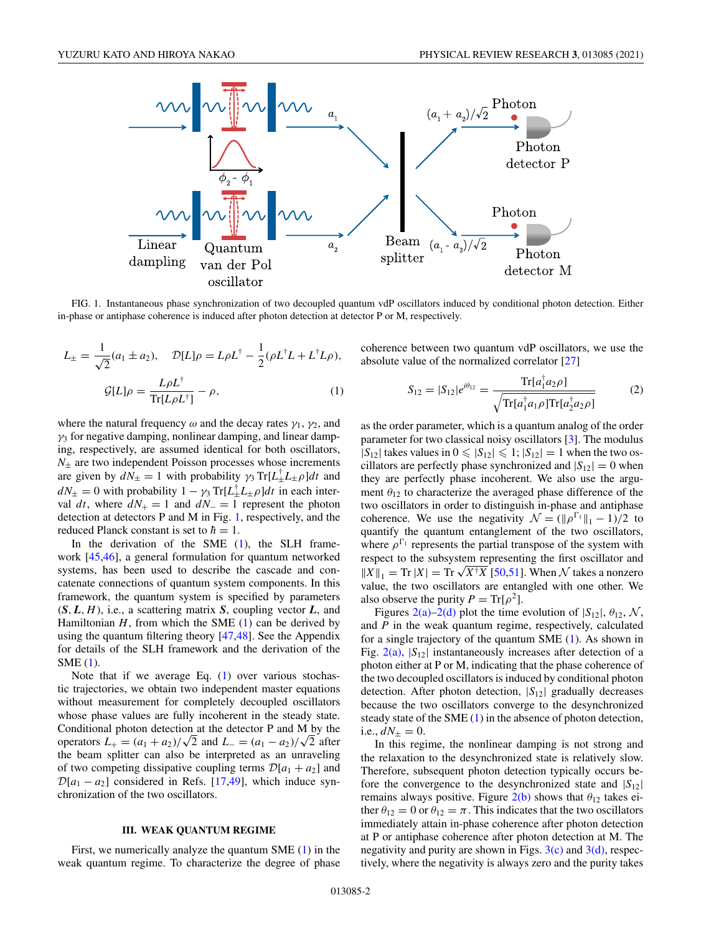<span id="page-1-0"></span>

FIG. 1. Instantaneous phase synchronization of two decoupled quantum vdP oscillators induced by conditional photon detection. Either in-phase or antiphase coherence is induced after photon detection at detector P or M, respectively.

$$
L_{\pm} = \frac{1}{\sqrt{2}} (a_1 \pm a_2), \quad \mathcal{D}[L]\rho = L\rho L^{\dagger} - \frac{1}{2} (\rho L^{\dagger} L + L^{\dagger} L \rho),
$$

$$
\mathcal{G}[L]\rho = \frac{L\rho L^{\dagger}}{\text{Tr}[L\rho L^{\dagger}]} - \rho,
$$
(1)

where the natural frequency  $\omega$  and the decay rates  $\gamma_1$ ,  $\gamma_2$ , and  $\gamma_3$  for negative damping, nonlinear damping, and linear damping, respectively, are assumed identical for both oscillators,  $N_{\pm}$  are two independent Poisson processes whose increments are given by  $d\tilde{N}_{\pm} = 1$  with probability  $\gamma_3 \text{Tr}[L_{\pm}^{\dagger} L_{\pm} \rho] dt$  and  $dN_{\pm} = 0$  with probability  $1 - \gamma_3 \text{Tr}[L^{\dagger}_\pm L^{\dagger}_\pm \rho]dt$  in each interval *dt*, where  $dN_+ = 1$  and  $dN_-=1$  represent the photon detection at detectors P and M in Fig. 1, respectively, and the reduced Planck constant is set to  $\hbar = 1$ .

In the derivation of the SME  $(1)$ , the SLH framework [\[45,46\]](#page-7-0), a general formulation for quantum networked systems, has been used to describe the cascade and concatenate connections of quantum system components. In this framework, the quantum system is specified by parameters (*S*, *L*, *H*), i.e., a scattering matrix *S*, coupling vector *L*, and Hamiltonian  $H$ , from which the SME  $(1)$  can be derived by using the quantum filtering theory [\[47,48\]](#page-7-0). See the Appendix for details of the SLH framework and the derivation of the SME (1).

Note that if we average Eq. (1) over various stochastic trajectories, we obtain two independent master equations without measurement for completely decoupled oscillators whose phase values are fully incoherent in the steady state. Conditional photon detection at the detector P and M by the operators  $L_{+} = (a_1 + a_2)/\sqrt{2}$  and  $L_{-} = (a_1 - a_2)/\sqrt{2}$  after the beam splitter can also be interpreted as an unraveling of two competing dissipative coupling terms  $\mathcal{D}[a_1 + a_2]$  and  $\mathcal{D}[a_1 - a_2]$  considered in Refs. [\[17](#page-6-0)[,49\]](#page-7-0), which induce synchronization of the two oscillators.

# **III. WEAK QUANTUM REGIME**

First, we numerically analyze the quantum SME (1) in the weak quantum regime. To characterize the degree of phase coherence between two quantum vdP oscillators, we use the absolute value of the normalized correlator [\[27\]](#page-6-0)

$$
S_{12} = |S_{12}|e^{i\theta_{12}} = \frac{\text{Tr}[a_1^{\dagger}a_2\rho]}{\sqrt{\text{Tr}[a_1^{\dagger}a_1\rho]\text{Tr}[a_2^{\dagger}a_2\rho]}} \tag{2}
$$

as the order parameter, which is a quantum analog of the order parameter for two classical noisy oscillators [\[3\]](#page-6-0). The modulus  $|S_{12}|$  takes values in  $0 \le |S_{12}| \le 1$ ;  $|S_{12}| = 1$  when the two oscillators are perfectly phase synchronized and  $|S_{12}| = 0$  when they are perfectly phase incoherent. We also use the argument  $\theta_{12}$  to characterize the averaged phase difference of the two oscillators in order to distinguish in-phase and antiphase coherence. We use the negativity  $\mathcal{N} = (\|\rho^{\Gamma_1}\|_1 - 1)/2$  to quantify the quantum entanglement of the two oscillators, where  $\rho^{\Gamma_1}$  represents the partial transpose of the system with respect to the subsystem representing the first oscillator and  $\|X\|_1 = \text{Tr } |X| = \text{Tr } \sqrt{X^{\dagger} X}$  [\[50,51\]](#page-7-0). When N takes a nonzero value, the two oscillators are entangled with one other. We also observe the purity  $P = Tr[\rho^2]$ .

Figures [2\(a\)–2\(d\)](#page-2-0) plot the time evolution of  $|S_{12}|$ ,  $\theta_{12}$ , N, and *P* in the weak quantum regime, respectively, calculated for a single trajectory of the quantum SME (1). As shown in Fig. [2\(a\),](#page-2-0)  $|S_{12}|$  instantaneously increases after detection of a photon either at P or M, indicating that the phase coherence of the two decoupled oscillators is induced by conditional photon detection. After photon detection, |*S*12| gradually decreases because the two oscillators converge to the desynchronized steady state of the SME (1) in the absence of photon detection, i.e.,  $dN_{\pm} = 0$ .

In this regime, the nonlinear damping is not strong and the relaxation to the desynchronized state is relatively slow. Therefore, subsequent photon detection typically occurs before the convergence to the desynchronized state and |*S*12| remains always positive. Figure  $2(b)$  shows that  $\theta_{12}$  takes either  $\theta_{12} = 0$  or  $\theta_{12} = \pi$ . This indicates that the two oscillators immediately attain in-phase coherence after photon detection at P or antiphase coherence after photon detection at M. The negativity and purity are shown in Figs.  $3(c)$  and  $3(d)$ , respectively, where the negativity is always zero and the purity takes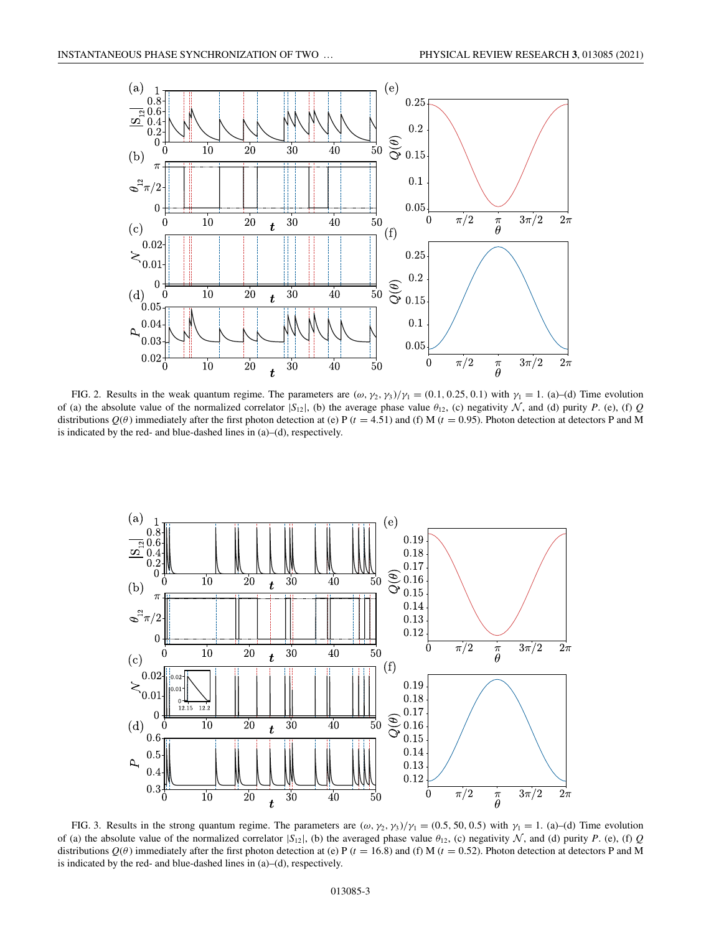<span id="page-2-0"></span>

FIG. 2. Results in the weak quantum regime. The parameters are  $(\omega, \gamma_2, \gamma_3)/\gamma_1 = (0.1, 0.25, 0.1)$  with  $\gamma_1 = 1$ . (a)–(d) Time evolution of (a) the absolute value of the normalized correlator  $|S_{12}|$ , (b) the average phase value  $\theta_{12}$ , (c) negativity N, and (d) purity P. (e), (f) *Q* distributions  $Q(\theta)$  immediately after the first photon detection at (e) P ( $t = 4.51$ ) and (f) M ( $t = 0.95$ ). Photon detection at detectors P and M is indicated by the red- and blue-dashed lines in (a)–(d), respectively.



FIG. 3. Results in the strong quantum regime. The parameters are  $(\omega, \gamma_2, \gamma_3)/\gamma_1 = (0.5, 50, 0.5)$  with  $\gamma_1 = 1$ . (a)–(d) Time evolution of (a) the absolute value of the normalized correlator  $|S_{12}|$ , (b) the averaged phase value  $\theta_{12}$ , (c) negativity N, and (d) purity P. (e), (f) Q distributions  $Q(\theta)$  immediately after the first photon detection at (e) P ( $t = 16.8$ ) and (f) M ( $t = 0.52$ ). Photon detection at detectors P and M is indicated by the red- and blue-dashed lines in (a)–(d), respectively.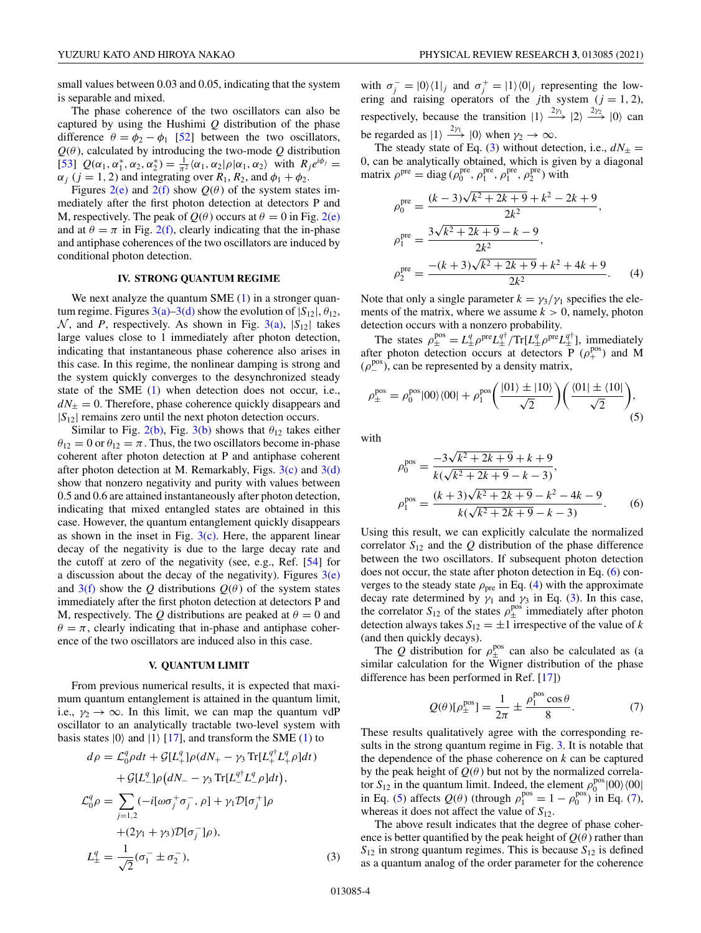<span id="page-3-0"></span>small values between 0.03 and 0.05, indicating that the system is separable and mixed.

The phase coherence of the two oscillators can also be captured by using the Hushimi *Q* distribution of the phase difference  $\theta = \phi_2 - \phi_1$  [\[52\]](#page-7-0) between the two oscillators,  $Q(\theta)$ , calculated by introducing the two-mode  $Q$  distribution [\[53\]](#page-7-0)  $Q(\alpha_1, \alpha_1^*, \alpha_2, \alpha_2^*) = \frac{1}{\pi^2} \langle \alpha_1, \alpha_2 | \rho | \alpha_1, \alpha_2 \rangle$  with  $R_j e^{i\phi_j} =$  $\alpha_j$  ( $j = 1, 2$ ) and integrating over  $R_1, R_2$ , and  $\phi_1 + \phi_2$ .

Figures [2\(e\)](#page-2-0) and [2\(f\)](#page-2-0) show  $Q(\theta)$  of the system states immediately after the first photon detection at detectors P and M, respectively. The peak of  $Q(\theta)$  occurs at  $\theta = 0$  in Fig. [2\(e\)](#page-2-0) and at  $\theta = \pi$  in Fig. [2\(f\),](#page-2-0) clearly indicating that the in-phase and antiphase coherences of the two oscillators are induced by conditional photon detection.

# **IV. STRONG QUANTUM REGIME**

We next analyze the quantum SME  $(1)$  in a stronger quantum regime. Figures  $3(a)-3(d)$  show the evolution of  $|S_{12}|, \theta_{12}$ ,  $\mathcal{N}$ , and *P*, respectively. As shown in Fig. [3\(a\),](#page-2-0)  $|S_{12}|$  takes large values close to 1 immediately after photon detection, indicating that instantaneous phase coherence also arises in this case. In this regime, the nonlinear damping is strong and the system quickly converges to the desynchronized steady state of the SME [\(1\)](#page-1-0) when detection does not occur, i.e.,  $dN_{\pm} = 0$ . Therefore, phase coherence quickly disappears and  $|S_{12}|$  remains zero until the next photon detection occurs.

Similar to Fig. [2\(b\),](#page-2-0) Fig. [3\(b\)](#page-2-0) shows that  $\theta_{12}$  takes either  $\theta_{12} = 0$  or  $\theta_{12} = \pi$ . Thus, the two oscillators become in-phase coherent after photon detection at P and antiphase coherent after photon detection at M. Remarkably, Figs.  $3(c)$  and  $3(d)$ show that nonzero negativity and purity with values between 0.5 and 0.6 are attained instantaneously after photon detection, indicating that mixed entangled states are obtained in this case. However, the quantum entanglement quickly disappears as shown in the inset in Fig.  $3(c)$ . Here, the apparent linear decay of the negativity is due to the large decay rate and the cutoff at zero of the negativity (see, e.g., Ref. [\[54\]](#page-7-0) for a discussion about the decay of the negativity). Figures  $3(e)$ and  $3(f)$  show the *Q* distributions  $Q(\theta)$  of the system states immediately after the first photon detection at detectors P and M, respectively. The *Q* distributions are peaked at  $\theta = 0$  and  $\theta = \pi$ , clearly indicating that in-phase and antiphase coherence of the two oscillators are induced also in this case.

# **V. QUANTUM LIMIT**

From previous numerical results, it is expected that maximum quantum entanglement is attained in the quantum limit, i.e.,  $\gamma_2 \rightarrow \infty$ . In this limit, we can map the quantum vdP oscillator to an analytically tractable two-level system with basis states  $|0\rangle$  and  $|1\rangle$  [\[17\]](#page-6-0), and transform the SME [\(1\)](#page-1-0) to

$$
d\rho = \mathcal{L}_0^q \rho dt + \mathcal{G}[L_+^q] \rho (dN_+ - \gamma_3 \text{Tr}[L_+^{q\dagger} L_+^q \rho] dt) + \mathcal{G}[L_-^q] \rho (dN_- - \gamma_3 \text{Tr}[L_-^{q\dagger} L_-^q \rho] dt), \n\mathcal{L}_0^q \rho = \sum_{j=1,2} (-i[\omega \sigma_j^+ \sigma_j^-, \rho] + \gamma_1 \mathcal{D}[\sigma_j^+] \rho + (2\gamma_1 + \gamma_3) \mathcal{D}[\sigma_j^-] \rho), \nL_{\pm}^q = \frac{1}{\sqrt{2}} (\sigma_1^- \pm \sigma_2^-),
$$
\n(3)

with  $\sigma_j^- = |0\rangle\langle 1|_j$  and  $\sigma_j^+ = |1\rangle\langle 0|_j$  representing the lowering and raising operators of the *j*th system  $(j = 1, 2)$ , respectively, because the transition  $|1\rangle \stackrel{2\gamma_1}{\longrightarrow} |2\rangle \stackrel{2\gamma_2}{\longrightarrow} |0\rangle$  can be regarded as  $|1\rangle \xrightarrow{2\gamma_1} |0\rangle$  when  $\gamma_2 \to \infty$ .

The steady state of Eq. (3) without detection, i.e.,  $dN_{\pm} =$ 0, can be analytically obtained, which is given by a diagonal matrix  $\rho^{\text{pre}} = \text{diag}(\rho_0^{\text{pre}}, \rho_1^{\text{pre}}, \rho_1^{\text{pre}}, \rho_2^{\text{pre}})$  with

$$
\rho_0^{\text{pre}} = \frac{(k-3)\sqrt{k^2 + 2k + 9} + k^2 - 2k + 9}{2k^2},
$$
  
\n
$$
\rho_1^{\text{pre}} = \frac{3\sqrt{k^2 + 2k + 9} - k - 9}{2k^2},
$$
  
\n
$$
\rho_2^{\text{pre}} = \frac{-(k+3)\sqrt{k^2 + 2k + 9} + k^2 + 4k + 9}{2k^2}.
$$
 (4)

Note that only a single parameter  $k = \gamma_3/\gamma_1$  specifies the elements of the matrix, where we assume  $k > 0$ , namely, photon detection occurs with a nonzero probability.

The states  $\rho_{\pm}^{\text{pos}} = L_{\pm}^q \rho^{\text{pre}} L_{\pm}^{q\dagger} / \text{Tr}[L_{\pm}^q \rho^{\text{pre}} L_{\pm}^{q\dagger}],$  immediately after photon detection occurs at detectors  $\overline{P}$  ( $\rho_{+}^{pos}$ ) and M  $(\rho_-^{\text{pos}})$ , can be represented by a density matrix,

$$
\rho_{\pm}^{\text{pos}} = \rho_0^{\text{pos}}|00\rangle\langle00| + \rho_1^{\text{pos}} \left( \frac{|01\rangle \pm |10\rangle}{\sqrt{2}} \right) \left( \frac{\langle 01| \pm \langle 10|}{\sqrt{2}} \right), \tag{5}
$$

with

$$
\rho_0^{\text{pos}} = \frac{-3\sqrt{k^2 + 2k + 9} + k + 9}{k(\sqrt{k^2 + 2k + 9} - k - 3)},
$$
  
\n
$$
\rho_1^{\text{pos}} = \frac{(k+3)\sqrt{k^2 + 2k + 9} - k^2 - 4k - 9}{k(\sqrt{k^2 + 2k + 9} - k - 3)}.
$$
 (6)

Using this result, we can explicitly calculate the normalized correlator  $S_{12}$  and the  $Q$  distribution of the phase difference between the two oscillators. If subsequent photon detection does not occur, the state after photon detection in Eq. (6) converges to the steady state  $\rho_{\text{pre}}$  in Eq. (4) with the approximate decay rate determined by  $\gamma_1$  and  $\gamma_3$  in Eq. (3). In this case, the correlator  $S_{12}$  of the states  $\rho_{\pm}^{\text{pos}}$  immediately after photon detection always takes  $S_{12} = \pm 1$  irrespective of the value of *k* (and then quickly decays).

The *Q* distribution for  $\rho_{\pm}^{pos}$  can also be calculated as (a similar calculation for the Wigner distribution of the phase difference has been performed in Ref. [\[17\]](#page-6-0))

$$
Q(\theta)[\rho_{\pm}^{\text{pos}}] = \frac{1}{2\pi} \pm \frac{\rho_1^{\text{pos}} \cos \theta}{8}.
$$
 (7)

These results qualitatively agree with the corresponding results in the strong quantum regime in Fig. [3.](#page-2-0) It is notable that the dependence of the phase coherence on *k* can be captured by the peak height of  $Q(\theta)$  but not by the normalized correlator  $S_{12}$  in the quantum limit. Indeed, the element  $\rho_0^{pos}$   $|00\rangle\langle00|$ in Eq. (5) affects  $Q(\theta)$  (through  $\rho_1^{\text{pos}} = 1 - \rho_0^{\text{pos}}$ ) in Eq. (7), whereas it does not affect the value of *S*12.

The above result indicates that the degree of phase coherence is better quantified by the peak height of  $Q(\theta)$  rather than  $S_{12}$  in strong quantum regimes. This is because  $S_{12}$  is defined as a quantum analog of the order parameter for the coherence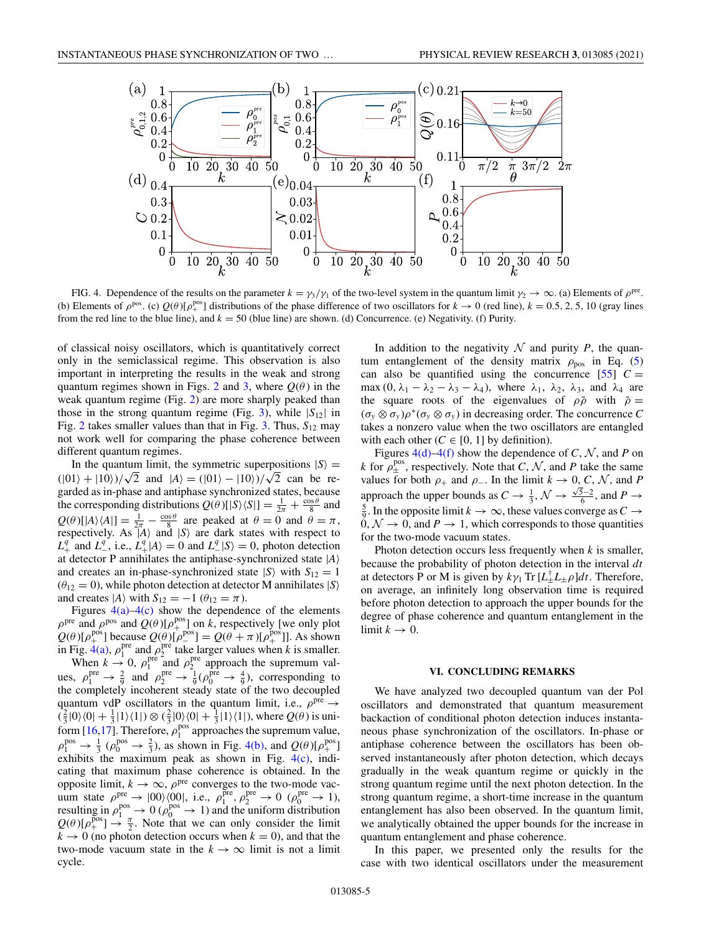

FIG. 4. Dependence of the results on the parameter  $k = \gamma_3/\gamma_1$  of the two-level system in the quantum limit  $\gamma_2 \to \infty$ . (a) Elements of  $\rho^{\text{pre}}$ . (b) Elements of  $\rho^{pos}$ . (c)  $Q(\theta)[\rho_+^{pos}]$  distributions of the phase difference of two oscillators for  $k \to 0$  (red line),  $k = 0.5, 2, 5, 10$  (gray lines from the red line to the blue line), and  $k = 50$  (blue line) are shown. (d) Concurrence. (e) Negativity. (f) Purity.

of classical noisy oscillators, which is quantitatively correct only in the semiclassical regime. This observation is also important in interpreting the results in the weak and strong quantum regimes shown in Figs. [2](#page-2-0) and [3,](#page-2-0) where  $Q(\theta)$  in the weak quantum regime (Fig. [2\)](#page-2-0) are more sharply peaked than those in the strong quantum regime (Fig. [3\)](#page-2-0), while  $|S_{12}|$  in Fig. [2](#page-2-0) takes smaller values than that in Fig. [3.](#page-2-0) Thus, *S*<sup>12</sup> may not work well for comparing the phase coherence between different quantum regimes.

In the quantum limit, the symmetric superpositions  $|S\rangle$  = ( $|01\rangle + |10\rangle$ )/ $\sqrt{2}$  and  $|A\rangle = (|01\rangle - |10\rangle)/\sqrt{2}$  can be regarded as in-phase and antiphase synchronized states, because the corresponding distributions  $Q(\theta) [S \setminus S] = \frac{1}{2\pi} + \frac{\cos \theta}{8}$  and  $Q(\theta)[|A\rangle\langle A|] = \frac{1}{2\pi} - \frac{\cos \theta}{8}$  are peaked at  $\theta = 0$  and  $\theta = \pi$ , respectively. As  $\hat{A}$  and  $\hat{S}$  are dark states with respect to  $L_+^q$  and  $L_-^q$ , i.e.,  $L_+^q |A\rangle = 0$  and  $L_-^q |S\rangle = 0$ , photon detection at detector P annihilates the antiphase-synchronized state |*A* and creates an in-phase-synchronized state  $|S\rangle$  with  $S_{12} = 1$  $(\theta_{12} = 0)$ , while photon detection at detector M annihilates  $|S\rangle$ and creates  $|A\rangle$  with  $S_{12} = -1$  ( $\theta_{12} = \pi$ ).

Figures  $4(a)$ – $4(c)$  show the dependence of the elements  $\rho^{\text{pre}}$  and  $\rho^{\text{pos}}$  and  $Q(\theta)[\rho_+^{\text{pos}}]$  on *k*, respectively [we only plot  $Q(\theta)[\rho_{+}^{\text{pos}}]$  because  $Q(\theta)[\rho_{-}^{\text{pos}}] = Q(\theta + \pi)[\rho_{+}^{\text{pos}}]$ . As shown in Fig.  $4(a)$ ,  $\rho_1^{\text{pre}}$  and  $\rho_2^{\text{pre}}$  take larger values when *k* is smaller. When  $k \to 0$ ,  $\rho_1^{\text{pre}}$  and  $\rho_2^{\text{pre}}$  approach the supremum values,  $\rho_1^{\text{pre}} \to \frac{2}{9}$  and  $\rho_2^{\text{pre}} \to \frac{1}{9} (\rho_0^{\text{pre}} \to \frac{4}{9})$ , corresponding to the completely incoherent steady state of the two decoupled quantum vdP oscillators in the quantum limit, i.e.,  $\rho^{\text{pre}} \rightarrow$  $(\frac{2}{3}|0\rangle\langle 0| + \frac{1}{3}|1\rangle\langle 1|) \otimes (\frac{2}{3}|0\rangle\langle 0| + \frac{1}{3}|1\rangle\langle 1|)$ , where  $Q(\theta)$  is uni-form [\[16,17\]](#page-6-0). Therefore,  $\rho_1^{pos}$  approaches the supremum value,  $\rho_1^{\text{pos}} \to \frac{1}{3}$  ( $\rho_0^{\text{pos}} \to \frac{2}{3}$ ), as shown in Fig. 4(b), and  $Q(\theta)[\rho_+^{\text{pos}}]$ exhibits the maximum peak as shown in Fig. 4(c), indicating that maximum phase coherence is obtained. In the opposite limit,  $k \to \infty$ ,  $\rho^{\text{pre}}$  converges to the two-mode vacuum state  $\rho_{\text{pos}}^{\text{pre}} \rightarrow |00\rangle\langle 00|$ , i.e.,  $\rho_1^{\text{pre}}, \rho_2^{\text{pre}} \rightarrow 0 \ (\rho_0^{\text{pre}} \rightarrow 1)$ , resulting in  $\rho_1^{\text{pos}} \to 0$  ( $\rho_0^{\text{pos}} \to 1$ ) and the uniform distribution  $Q(\theta)[\rho_+^{\text{pos}}] \rightarrow \frac{\pi}{2}$ . Note that we can only consider the limit  $k \to 0$  (no photon detection occurs when  $k = 0$ ), and that the two-mode vacuum state in the  $k \to \infty$  limit is not a limit cycle.

In addition to the negativity  $N$  and purity  $P$ , the quantum entanglement of the density matrix  $\rho_{\text{pos}}$  in Eq. [\(5\)](#page-3-0) can also be quantified using the concurrence  $[55]$   $C =$ max  $(0, \lambda_1 - \lambda_2 - \lambda_3 - \lambda_4)$ , where  $\lambda_1$ ,  $\lambda_2$ ,  $\lambda_3$ , and  $\lambda_4$  are the square roots of the eigenvalues of  $\rho \tilde{\rho}$  with  $\tilde{\rho} =$  $(\sigma_y \otimes \sigma_y)\rho^*(\sigma_y \otimes \sigma_y)$  in decreasing order. The concurrence *C* takes a nonzero value when the two oscillators are entangled with each other  $(C \in [0, 1]$  by definition).

Figures 4(d)–4(f) show the dependence of *C*,  $N$ , and *P* on *k* for  $\rho_{\pm}^{\text{pos}}$ , respectively. Note that *C*, *N*, and *P* take the same values for both  $\rho_+$  and  $\rho_-$ . In the limit  $k \to 0, C, N$ , and P approach the upper bounds as  $C \to \frac{1}{3}$ ,  $\mathcal{N} \to \frac{\sqrt{5}-2}{6}$ , and  $P \to$ <sup>5</sup> In the opposite limit  $k \to \infty$ , these values converge as  $C \to$  $\frac{5}{9}$ . In the opposite limit  $k \to \infty$ , these values converge as  $C \to$  $0, \mathcal{N} \rightarrow 0$ , and  $P \rightarrow 1$ , which corresponds to those quantities for the two-mode vacuum states.

Photon detection occurs less frequently when *k* is smaller, because the probability of photon detection in the interval *dt* at detectors P or M is given by  $k\gamma_1 \text{Tr} [L_+^{\dagger} L_+ \rho] dt$ . Therefore, on average, an infinitely long observation time is required before photon detection to approach the upper bounds for the degree of phase coherence and quantum entanglement in the limit  $k \to 0$ .

#### **VI. CONCLUDING REMARKS**

We have analyzed two decoupled quantum van der Pol oscillators and demonstrated that quantum measurement backaction of conditional photon detection induces instantaneous phase synchronization of the oscillators. In-phase or antiphase coherence between the oscillators has been observed instantaneously after photon detection, which decays gradually in the weak quantum regime or quickly in the strong quantum regime until the next photon detection. In the strong quantum regime, a short-time increase in the quantum entanglement has also been observed. In the quantum limit, we analytically obtained the upper bounds for the increase in quantum entanglement and phase coherence.

In this paper, we presented only the results for the case with two identical oscillators under the measurement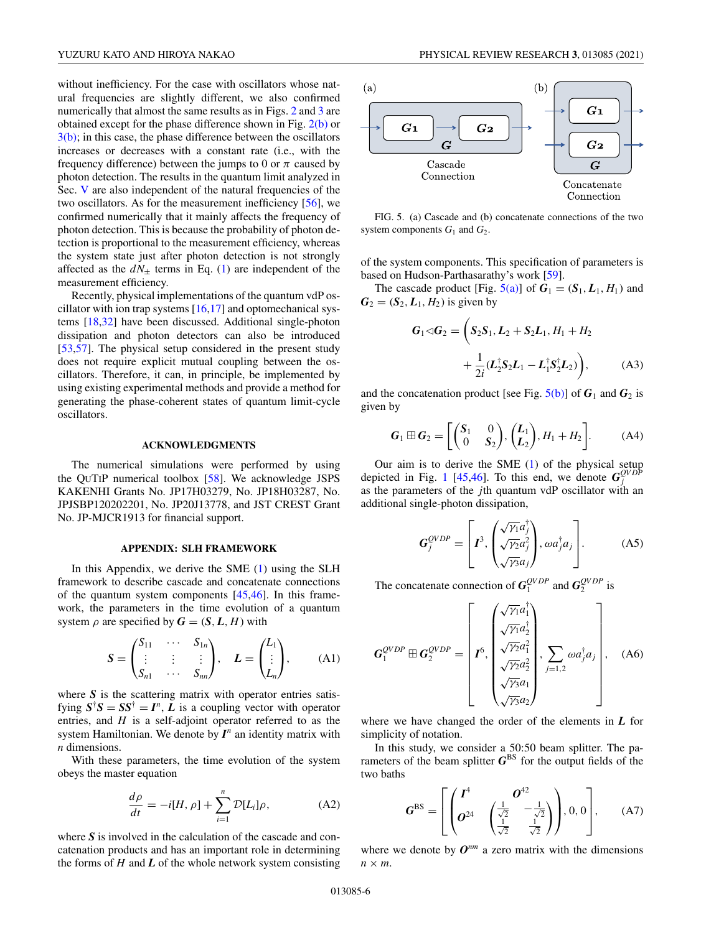<span id="page-5-0"></span>without inefficiency. For the case with oscillators whose natural frequencies are slightly different, we also confirmed numerically that almost the same results as in Figs. [2](#page-2-0) and [3](#page-2-0) are obtained except for the phase difference shown in Fig. [2\(b\)](#page-2-0) or  $3(b)$ ; in this case, the phase difference between the oscillators increases or decreases with a constant rate (i.e., with the frequency difference) between the jumps to 0 or  $\pi$  caused by photon detection. The results in the quantum limit analyzed in Sec. [V](#page-3-0) are also independent of the natural frequencies of the two oscillators. As for the measurement inefficiency [\[56\]](#page-7-0), we confirmed numerically that it mainly affects the frequency of photon detection. This is because the probability of photon detection is proportional to the measurement efficiency, whereas the system state just after photon detection is not strongly affected as the  $dN_{\pm}$  terms in Eq. [\(1\)](#page-1-0) are independent of the measurement efficiency.

Recently, physical implementations of the quantum vdP oscillator with ion trap systems  $[16,17]$  and optomechanical systems [\[18](#page-6-0)[,32\]](#page-7-0) have been discussed. Additional single-photon dissipation and photon detectors can also be introduced [\[53,57\]](#page-7-0). The physical setup considered in the present study does not require explicit mutual coupling between the oscillators. Therefore, it can, in principle, be implemented by using existing experimental methods and provide a method for generating the phase-coherent states of quantum limit-cycle oscillators.

# **ACKNOWLEDGMENTS**

The numerical simulations were performed by using the QUTIP numerical toolbox [\[58\]](#page-7-0). We acknowledge JSPS KAKENHI Grants No. JP17H03279, No. JP18H03287, No. JPJSBP120202201, No. JP20J13778, and JST CREST Grant No. JP-MJCR1913 for financial support.

## **APPENDIX: SLH FRAMEWORK**

In this Appendix, we derive the SME [\(1\)](#page-1-0) using the SLH framework to describe cascade and concatenate connections of the quantum system components [\[45,46\]](#page-7-0). In this framework, the parameters in the time evolution of a quantum system  $\rho$  are specified by  $\mathbf{G} = (\mathbf{S}, \mathbf{L}, \mathbf{H})$  with

$$
\mathbf{S} = \begin{pmatrix} S_{11} & \cdots & S_{1n} \\ \vdots & \vdots & \vdots \\ S_{n1} & \cdots & S_{nn} \end{pmatrix}, \quad \mathbf{L} = \begin{pmatrix} L_1 \\ \vdots \\ L_n \end{pmatrix}, \tag{A1}
$$

where *S* is the scattering matrix with operator entries satisfying  $S^{\dagger}S = SS^{\dagger} = I^n$ , *L* is a coupling vector with operator entries, and *H* is a self-adjoint operator referred to as the system Hamiltonian. We denote by  $I^n$  an identity matrix with *n* dimensions.

With these parameters, the time evolution of the system obeys the master equation

$$
\frac{d\rho}{dt} = -i[H, \rho] + \sum_{i=1}^{n} \mathcal{D}[L_i]\rho,\tag{A2}
$$

where S is involved in the calculation of the cascade and concatenation products and has an important role in determining the forms of  $H$  and  $L$  of the whole network system consisting



FIG. 5. (a) Cascade and (b) concatenate connections of the two system components  $G_1$  and  $G_2$ .

of the system components. This specification of parameters is based on Hudson-Parthasarathy's work [\[59\]](#page-7-0).

The cascade product [Fig.  $5(a)$ ] of  $G_1 = (S_1, L_1, H_1)$  and  $G_2 = (S_2, L_1, H_2)$  is given by

$$
G_1 \triangleleft G_2 = \left( S_2 S_1, L_2 + S_2 L_1, H_1 + H_2 + \frac{1}{2i} (L_2^{\dagger} S_2 L_1 - L_1^{\dagger} S_2^{\dagger} L_2) \right), \tag{A3}
$$

and the concatenation product [see Fig.  $5(b)$ ] of  $G_1$  and  $G_2$  is given by

$$
\boldsymbol{G}_1 \boxplus \boldsymbol{G}_2 = \begin{bmatrix} \begin{pmatrix} \boldsymbol{S}_1 & 0 \\ 0 & \boldsymbol{S}_2 \end{pmatrix}, \begin{pmatrix} \boldsymbol{L}_1 \\ \boldsymbol{L}_2 \end{pmatrix}, \boldsymbol{H}_1 + \boldsymbol{H}_2 \end{bmatrix} . \tag{A4}
$$

Our aim is to derive the SME [\(1\)](#page-1-0) of the physical setup depicted in Fig. [1](#page-1-0) [\[45,46\]](#page-7-0). To this end, we denote  $G_j^{QVDP}$ as the parameters of the *j*th quantum vdP oscillator with an additional single-photon dissipation,

$$
\mathbf{G}_{j}^{QVDP} = \left[ \boldsymbol{I}^{3}, \begin{pmatrix} \sqrt{\gamma_{1}} a_{j}^{\dagger} \\ \sqrt{\gamma_{2}} a_{j}^{2} \\ \sqrt{\gamma_{3}} a_{j} \end{pmatrix}, \omega a_{j}^{\dagger} a_{j} \right]. \tag{A5}
$$

The concatenate connection of  $G_1^{QVDP}$  and  $G_2^{QVDP}$  is

$$
\mathbf{G}_{1}^{QVDP} \boxplus \mathbf{G}_{2}^{QVDP} = \begin{bmatrix} \begin{pmatrix} \sqrt{\gamma_{1}} a_{1}^{\dagger} \\ \sqrt{\gamma_{1}} a_{2}^{\dagger} \\ \sqrt{\gamma_{2}} a_{1}^{2} \\ \sqrt{\gamma_{2}} a_{2}^{2} \\ \sqrt{\gamma_{3}} a_{1} \end{pmatrix}, \sum_{j=1,2} \omega a_{j}^{\dagger} a_{j} \end{bmatrix}, (A6)
$$

where we have changed the order of the elements in *L* for simplicity of notation.

In this study, we consider a 50:50 beam splitter. The parameters of the beam splitter  $G^{BS}$  for the output fields of the two baths

$$
G^{BS} = \left[ \begin{pmatrix} I^4 & O^{42} \\ O^{24} & \left( \frac{1}{\sqrt{2}} & -\frac{1}{\sqrt{2}} \\ \frac{1}{\sqrt{2}} & \frac{1}{\sqrt{2}} \end{pmatrix} \right), 0, 0 \right], (A7)
$$

where we denote by  $O^{nm}$  a zero matrix with the dimensions *n* × *m*.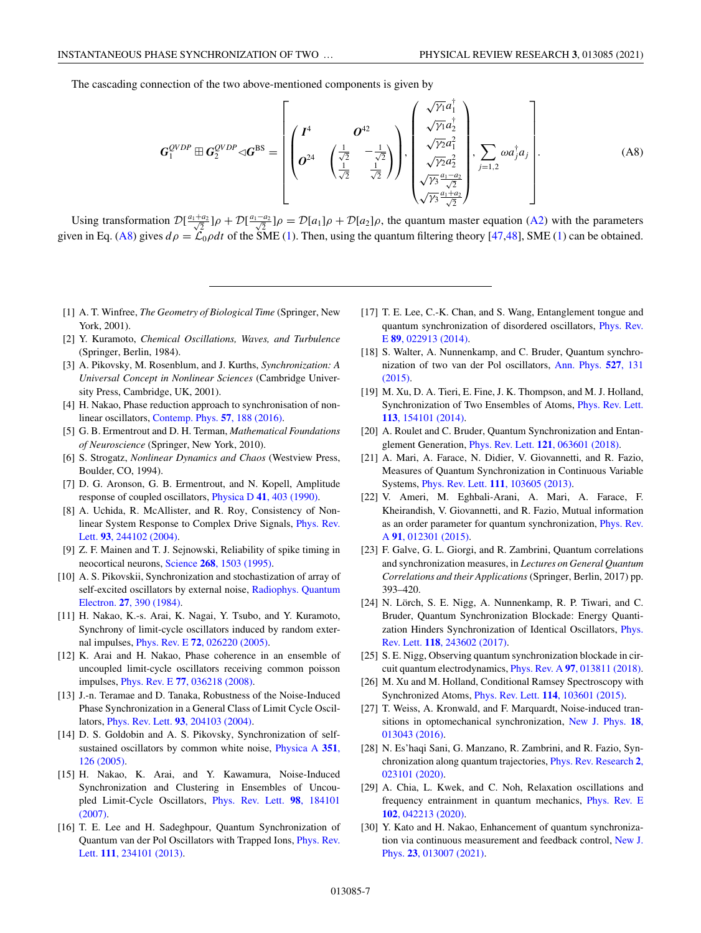<span id="page-6-0"></span>The cascading connection of the two above-mentioned components is given by

$$
G_1^{QVDP} \boxplus G_2^{QVDP} \triangleleft G^{BS} = \left[ \begin{pmatrix} I^4 & O^{42} \\ O^{24} & \begin{pmatrix} \frac{1}{\sqrt{2}} & -\frac{1}{\sqrt{2}} \\ \frac{1}{\sqrt{2}} & \frac{1}{\sqrt{2}} \end{pmatrix} \end{pmatrix}, \begin{pmatrix} \sqrt{\gamma_1} a_1^{\dagger} \\ \sqrt{\gamma_2} a_1^{\dagger} \\ \sqrt{\gamma_2} a_2^{\dagger} \\ \sqrt{\gamma_3} a_1 - a_2 \\ \sqrt{\gamma_3} a_1 + a_2 \\ \sqrt{\gamma_3} a_1 + a_2 \end{pmatrix}, \sum_{j=1,2} \omega a_j^{\dagger} a_j \right]. \tag{A8}
$$

Using transformation  $\mathcal{D}[\frac{a_1+a_2}{\sqrt{2}}]\rho + \mathcal{D}[\frac{a_1-a_2}{\sqrt{2}}]\rho = \mathcal{D}[a_1]\rho + \mathcal{D}[a_2]\rho$ , the quantum master equation [\(A2\)](#page-5-0) with the parameters given in Eq. (A8) gives  $d\rho = \mathcal{L}_0 \rho dt$  of the SME [\(1\)](#page-1-0). Then, using the quantum filtering theory [\[47,48\]](#page-7-0), SME (1) can be obtained.

- [1] A. T. Winfree, *The Geometry of Biological Time* (Springer, New York, 2001).
- [2] Y. Kuramoto, *Chemical Oscillations, Waves, and Turbulence* (Springer, Berlin, 1984).
- [3] A. Pikovsky, M. Rosenblum, and J. Kurths, *Synchronization: A Universal Concept in Nonlinear Sciences* (Cambridge University Press, Cambridge, UK, 2001).
- [4] H. Nakao, Phase reduction approach to synchronisation of nonlinear oscillators, [Contemp. Phys.](https://doi.org/10.1080/00107514.2015.1094987) **57**, 188 (2016).
- [5] G. B. Ermentrout and D. H. Terman, *Mathematical Foundations of Neuroscience* (Springer, New York, 2010).
- [6] S. Strogatz, *Nonlinear Dynamics and Chaos* (Westview Press, Boulder, CO, 1994).
- [7] D. G. Aronson, G. B. Ermentrout, and N. Kopell, Amplitude response of coupled oscillators, Physica D **41**[, 403 \(1990\).](https://doi.org/10.1016/0167-2789(90)90007-C)
- [8] A. Uchida, R. McAllister, and R. Roy, Consistency of Non[linear System Response to Complex Drive Signals,](https://doi.org/10.1103/PhysRevLett.93.244102) Phys. Rev. Lett. **93**, 244102 (2004).
- [9] Z. F. Mainen and T. J. Sejnowski, Reliability of spike timing in neocortical neurons, Science **268**[, 1503 \(1995\).](https://doi.org/10.1126/science.7770778)
- [10] A. S. Pikovskii, Synchronization and stochastization of array of [self-excited oscillators by external noise,](https://doi.org/10.1007/BF01044784) Radiophys. Quantum Electron. **27**, 390 (1984).
- [11] H. Nakao, K.-s. Arai, K. Nagai, Y. Tsubo, and Y. Kuramoto, Synchrony of limit-cycle oscillators induced by random external impulses, Phys. Rev. E **72**[, 026220 \(2005\).](https://doi.org/10.1103/PhysRevE.72.026220)
- [12] K. Arai and H. Nakao, Phase coherence in an ensemble of uncoupled limit-cycle oscillators receiving common poisson impulses, Phys. Rev. E **77**[, 036218 \(2008\).](https://doi.org/10.1103/PhysRevE.77.036218)
- [13] J.-n. Teramae and D. Tanaka, Robustness of the Noise-Induced Phase Synchronization in a General Class of Limit Cycle Oscillators, Phys. Rev. Lett. **93**[, 204103 \(2004\).](https://doi.org/10.1103/PhysRevLett.93.204103)
- [14] D. S. Goldobin and A. S. Pikovsky, Synchronization of self[sustained oscillators by common white noise,](https://doi.org/10.1016/j.physa.2004.12.014) Physica A **351**, 126 (2005).
- [15] H. Nakao, K. Arai, and Y. Kawamura, Noise-Induced Synchronization and Clustering in Ensembles of Uncou[pled Limit-Cycle Oscillators,](https://doi.org/10.1103/PhysRevLett.98.184101) Phys. Rev. Lett. **98**, 184101 (2007).
- [16] T. E. Lee and H. Sadeghpour, Quantum Synchronization of [Quantum van der Pol Oscillators with Trapped Ions,](https://doi.org/10.1103/PhysRevLett.111.234101) Phys. Rev. Lett. **111**, 234101 (2013).
- [17] T. E. Lee, C.-K. Chan, and S. Wang, Entanglement tongue and [quantum synchronization of disordered oscillators,](https://doi.org/10.1103/PhysRevE.89.022913) Phys. Rev. E **89**, 022913 (2014).
- [18] S. Walter, A. Nunnenkamp, and C. Bruder, Quantum synchro[nization of two van der Pol oscillators,](https://doi.org/10.1002/andp.201400144) Ann. Phys. **527**, 131 (2015).
- [19] M. Xu, D. A. Tieri, E. Fine, J. K. Thompson, and M. J. Holland, [Synchronization of Two Ensembles of Atoms,](https://doi.org/10.1103/PhysRevLett.113.154101) Phys. Rev. Lett. **113**, 154101 (2014).
- [20] A. Roulet and C. Bruder, Quantum Synchronization and Entanglement Generation, Phys. Rev. Lett. **121**[, 063601 \(2018\).](https://doi.org/10.1103/PhysRevLett.121.063601)
- [21] A. Mari, A. Farace, N. Didier, V. Giovannetti, and R. Fazio, Measures of Quantum Synchronization in Continuous Variable Systems, Phys. Rev. Lett. **111**[, 103605 \(2013\).](https://doi.org/10.1103/PhysRevLett.111.103605)
- [22] V. Ameri, M. Eghbali-Arani, A. Mari, A. Farace, F. Kheirandish, V. Giovannetti, and R. Fazio, Mutual information [as an order parameter for quantum synchronization,](https://doi.org/10.1103/PhysRevA.91.012301) Phys. Rev. A **91**, 012301 (2015).
- [23] F. Galve, G. L. Giorgi, and R. Zambrini, Quantum correlations and synchronization measures, in *Lectures on General Quantum Correlations and their Applications* (Springer, Berlin, 2017) pp. 393–420.
- [24] N. Lörch, S. E. Nigg, A. Nunnenkamp, R. P. Tiwari, and C. Bruder, Quantum Synchronization Blockade: Energy Quanti[zation Hinders Synchronization of Identical Oscillators,](https://doi.org/10.1103/PhysRevLett.118.243602) Phys. Rev. Lett. **118**, 243602 (2017).
- [25] S. E. Nigg, Observing quantum synchronization blockade in circuit quantum electrodynamics, Phys. Rev. A **97**[, 013811 \(2018\).](https://doi.org/10.1103/PhysRevA.97.013811)
- [26] M. Xu and M. Holland, Conditional Ramsey Spectroscopy with Synchronized Atoms, Phys. Rev. Lett. **114**[, 103601 \(2015\).](https://doi.org/10.1103/PhysRevLett.114.103601)
- [27] T. Weiss, A. Kronwald, and F. Marquardt, Noise-induced tran[sitions in optomechanical synchronization,](https://doi.org/10.1088/1367-2630/18/1/013043) New J. Phys. **18**, 013043 (2016).
- [28] N. Es'haqi Sani, G. Manzano, R. Zambrini, and R. Fazio, Syn[chronization along quantum trajectories,](https://doi.org/10.1103/PhysRevResearch.2.023101) Phys. Rev. Research **2**, 023101 (2020).
- [29] A. Chia, L. Kwek, and C. Noh, Relaxation oscillations and [frequency entrainment in quantum mechanics,](https://doi.org/10.1103/PhysRevE.102.042213) Phys. Rev. E **102**, 042213 (2020).
- [30] Y. Kato and H. Nakao, Enhancement of quantum synchroniza[tion via continuous measurement and feedback control,](https://doi.org/10.1088/1367-2630/abd7be) New J. Phys. **23**, 013007 (2021).